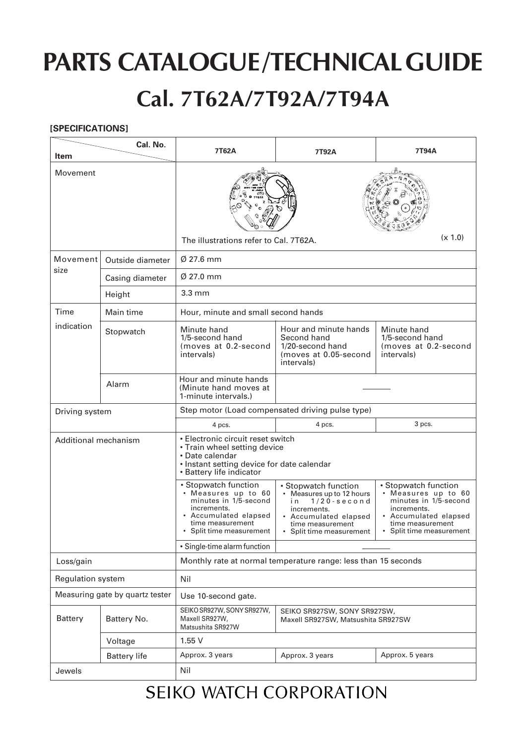# **PARTS CATALOGUE/TECHNICAL GUIDE Cal. 7T62A/7T92A/7T94A**

#### **[SPECIFICATIONS]**

| <b>Item</b>                     | Cal. No.            | 7T62A                                                                                                                                                          | 7T92A                                                                                                                                                               | 7T94A                                                                                                                                                      |
|---------------------------------|---------------------|----------------------------------------------------------------------------------------------------------------------------------------------------------------|---------------------------------------------------------------------------------------------------------------------------------------------------------------------|------------------------------------------------------------------------------------------------------------------------------------------------------------|
| Movement                        |                     |                                                                                                                                                                |                                                                                                                                                                     |                                                                                                                                                            |
|                                 |                     | (x 1.0)<br>The illustrations refer to Cal. 7T62A.                                                                                                              |                                                                                                                                                                     |                                                                                                                                                            |
| Movement<br>size                | Outside diameter    | $\varnothing$ 27.6 mm                                                                                                                                          |                                                                                                                                                                     |                                                                                                                                                            |
|                                 | Casing diameter     | $\varnothing$ 27.0 mm                                                                                                                                          |                                                                                                                                                                     |                                                                                                                                                            |
|                                 | Height              | $3.3 \text{ mm}$                                                                                                                                               |                                                                                                                                                                     |                                                                                                                                                            |
| Time<br>indication              | Main time           | Hour, minute and small second hands                                                                                                                            |                                                                                                                                                                     |                                                                                                                                                            |
|                                 | Stopwatch           | Minute hand<br>1/5-second hand<br>(moves at 0.2-second<br>intervals)                                                                                           | Hour and minute hands<br>Second hand<br>1/20-second hand<br>(moves at 0.05-second<br>intervals)                                                                     | Minute hand<br>1/5-second hand<br>(moves at 0.2-second<br>intervals)                                                                                       |
|                                 | Alarm               | Hour and minute hands<br>(Minute hand moves at<br>1-minute intervals.)                                                                                         |                                                                                                                                                                     |                                                                                                                                                            |
| Driving system                  |                     | Step motor (Load compensated driving pulse type)                                                                                                               |                                                                                                                                                                     |                                                                                                                                                            |
|                                 |                     | 4 pcs.                                                                                                                                                         | 4 pcs.                                                                                                                                                              | 3 pcs.                                                                                                                                                     |
| Additional mechanism            |                     | • Electronic circuit reset switch<br>• Train wheel setting device<br>• Date calendar<br>• Instant setting device for date calendar<br>• Battery life indicator |                                                                                                                                                                     |                                                                                                                                                            |
|                                 |                     | • Stopwatch function<br>• Measures up to 60<br>minutes in 1/5-second<br>increments.<br>• Accumulated elapsed<br>time measurement<br>Split time measurement     | • Stopwatch function<br>• Measures up to 12 hours<br>i n<br>$1/20$ - second<br>increments.<br>• Accumulated elapsed<br>time measurement<br>• Split time measurement | • Stopwatch function<br>• Measures up to 60<br>minutes in 1/5-second<br>increments.<br>• Accumulated elapsed<br>time measurement<br>Split time measurement |
|                                 |                     | • Single-time alarm function                                                                                                                                   |                                                                                                                                                                     |                                                                                                                                                            |
| Loss/gain                       |                     | Monthly rate at normal temperature range: less than 15 seconds                                                                                                 |                                                                                                                                                                     |                                                                                                                                                            |
| Regulation system               |                     | Nil                                                                                                                                                            |                                                                                                                                                                     |                                                                                                                                                            |
| Measuring gate by quartz tester |                     | Use 10-second gate.                                                                                                                                            |                                                                                                                                                                     |                                                                                                                                                            |
| <b>Battery</b>                  | Battery No.         | SEIKO SR927W, SONY SR927W,<br>SEIKO SR927SW, SONY SR927SW,<br>Maxell SR927W,<br>Maxell SR927SW, Matsushita SR927SW<br>Matsushita SR927W                        |                                                                                                                                                                     |                                                                                                                                                            |
|                                 | Voltage             | 1.55V                                                                                                                                                          |                                                                                                                                                                     |                                                                                                                                                            |
|                                 | <b>Battery life</b> | Approx. 3 years                                                                                                                                                | Approx. 3 years                                                                                                                                                     | Approx. 5 years                                                                                                                                            |
| Jewels                          |                     | Nil                                                                                                                                                            |                                                                                                                                                                     |                                                                                                                                                            |

#### **SEIKO WATCH CORPORATION**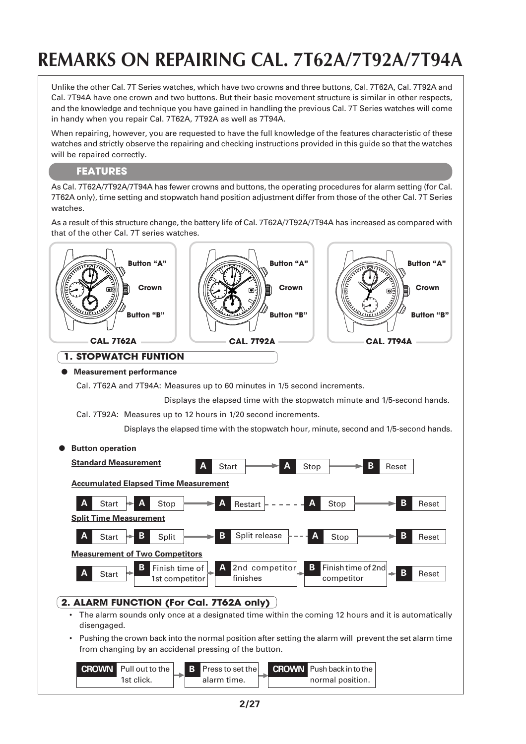### **REMARKS ON REPAIRING CAL. 7T62A/7T92A/7T94A**

Unlike the other Cal. 7T Series watches, which have two crowns and three buttons, Cal. 7T62A, Cal. 7T92A and Cal. 7T94A have one crown and two buttons. But their basic movement structure is similar in other respects, and the knowledge and technique you have gained in handling the previous Cal. 7T Series watches will come in handy when you repair Cal. 7T62A, 7T92A as well as 7T94A.

When repairing, however, you are requested to have the full knowledge of the features characteristic of these watches and strictly observe the repairing and checking instructions provided in this guide so that the watches will be repaired correctly.

#### **FEATURES**

As Cal. 7T62A/7T92A/7T94A has fewer crowns and buttons, the operating procedures for alarm setting (for Cal. 7T62A only), time setting and stopwatch hand position adjustment differ from those of the other Cal. 7T Series watches.

As a result of this structure change, the battery life of Cal. 7T62A/7T92A/7T94A has increased as compared with that of the other Cal. 7T series watches.



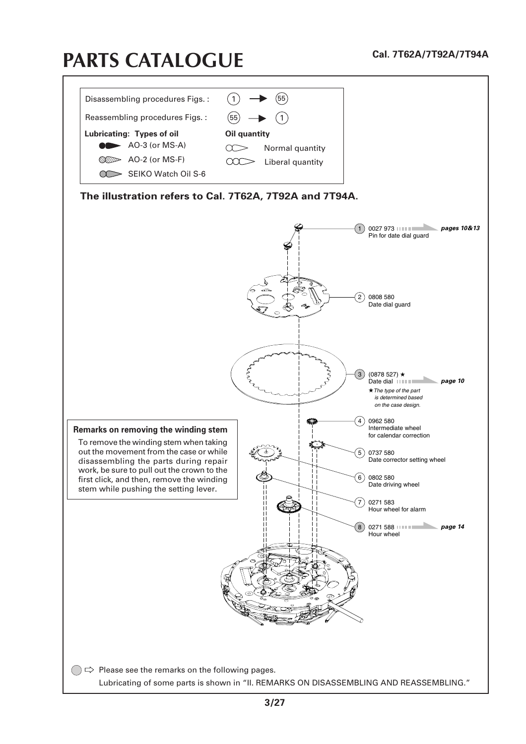## **PARTS CATALOGUE**

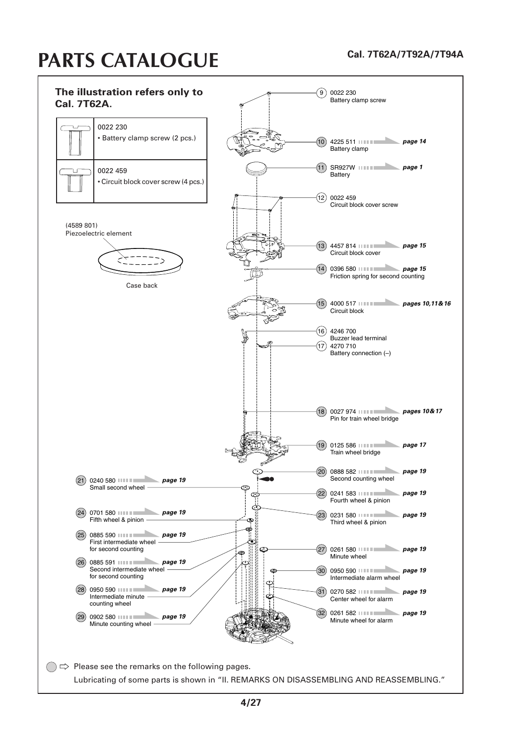### **Cal. 7T62A/7T92A/7T94A PARTS CATALOGUE**

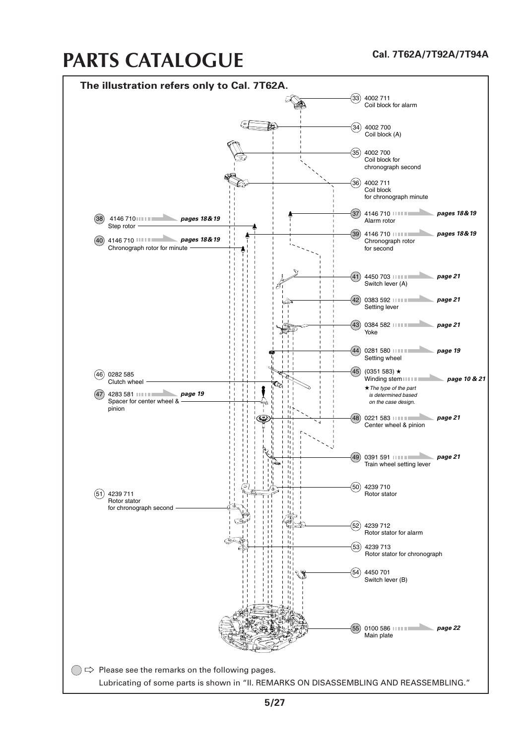### **PARTS CATALOGUE**

#### **Cal. 7T62A/7T92A/7T94A**